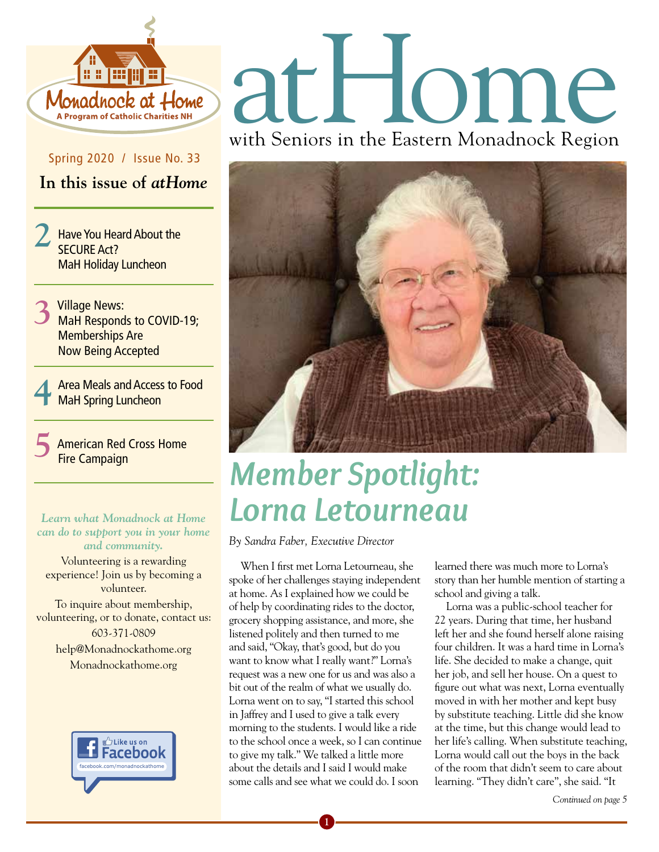

Spring 2020 / Issue No. 33

**In this issue of** *atHome*

**2** Have You Heard About the SECURE Act? MaH Holiday Luncheon

- 3 Village News:<br>3 MaH Responds to COVID-19; Memberships Are Now Being Accepted
- **4** Area Meals and Access to Food MaH Spring Luncheon

**5** American Red Cross Home Fire Campaign

#### **Figure 1.1 Let UP III All Let UP UP IIII**<br> **Figure 2018** Can do to support you in your home<br>
By Sandra Faber, Executive Director *Learn what Monadnock at Home can do to support you in your home and community.*

Volunteering is a rewarding experience! Join us by becoming a volunteer. To inquire about membership, volunteering, or to donate, contact us: 603-371-0809 help@Monadnockathome.org Monadnockathome.org *Welcome New Members and Volunteers!*



# atHome with Seniors in the Eastern Monadnock Region



## *Member Spotlight: Lorna Letourneau*

When I first met Lorna Letourneau, she spoke of her challenges staying independent at home. As I explained how we could be of help by coordinating rides to the doctor, grocery shopping assistance, and more, she listened politely and then turned to me and said, "Okay, that's good, but do you want to know what I really want?" Lorna's request was a new one for us and was also a bit out of the realm of what we usually do. Lorna went on to say, "I started this school in Jaffrey and I used to give a talk every morning to the students. I would like a ride to the school once a week, so I can continue to give my talk." We talked a little more about the details and I said I would make some calls and see what we could do. I soon

learned there was much more to Lorna's story than her humble mention of starting a school and giving a talk.

Lorna was a public-school teacher for 22 years. During that time, her husband left her and she found herself alone raising four children. It was a hard time in Lorna's life. She decided to make a change, quit her job, and sell her house. On a quest to figure out what was next, Lorna eventually moved in with her mother and kept busy by substitute teaching. Little did she know at the time, but this change would lead to her life's calling. When substitute teaching, Lorna would call out the boys in the back of the room that didn't seem to care about learning. "They didn't care", she said. "It

*Continued on page 5*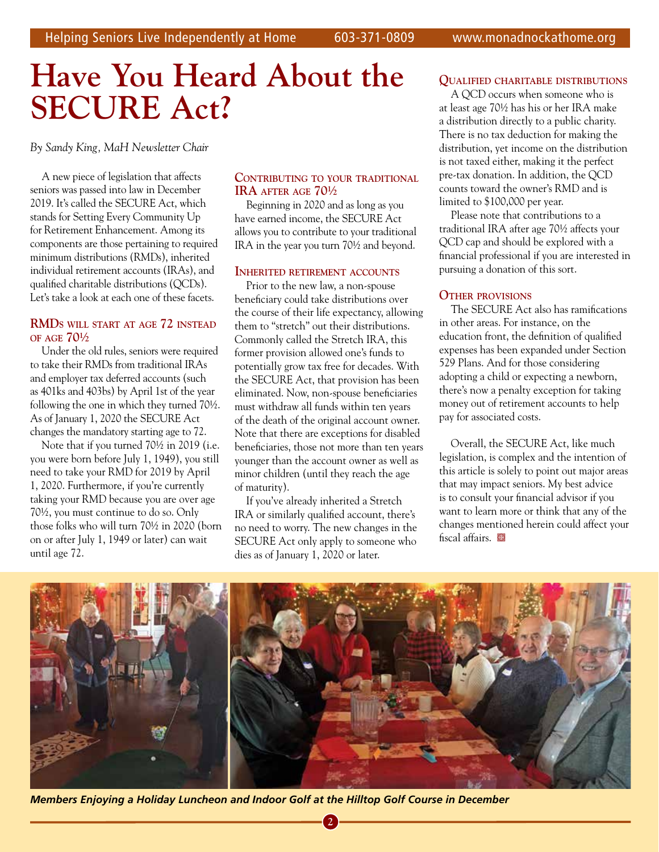## **Have You Heard About the Have You Heard About the SECURE Act? SECURE Act?**

*By Sandy King, MaH Newsletter Chair By Sandy King, MaH Newsletter Chair*

A new piece of legislation that affects A new piece of legislation that affects seniors was passed into law in December seniors was passed into law in December 2019. It's called the SECURE Act, which 2019. It's called the SECURE Act, which stands for Setting Every Community Up stands for Setting Every Community Up for Retirement Enhancement. Among its for Retirement Enhancement. Among its components are those pertaining to required components are those pertaining to required minimum distributions (RMDs), inherited minimum distributions (RMDs), inherited individual retirement accounts (IRAs), and individual retirement accounts (IRAs), and qualified charitable distributions (QCDs). qualified charitable distributions (QCDs). Let's take a look at each one of these facets. Let's take a look at each one of these facets.

#### **RMDs will staRt at age 72 insteaD RMDs will staRt at age 72 insteaD of age 70½ of age 70½**

Under the old rules, seniors were required Under the old rules, seniors were required to take their RMDs from traditional IRAs to take their RMDs from traditional IRAs and employer tax deferred accounts (such and employer tax deferred accounts (such as 401ks and 403bs) by April 1st of the year as 401ks and 403bs) by April 1st of the year following the one in which they turned 70½. following the one in which they turned 70½. As of January 1, 2020 the SECURE Act As of January 1, 2020 the SECURE Act changes the mandatory starting age to 72. changes the mandatory starting age to 72.

Note that if you turned 70½ in 2019 (i.e. Note that if you turned 70½ in 2019 (i.e. you were born before July 1, 1949), you still you were born before July 1, 1949), you still need to take your RMD for 2019 by April need to take your RMD for 2019 by April 1, 2020. Furthermore, if you're currently 1, 2020. Furthermore, if you're currently taking your RMD because you are over age taking your RMD because you are over age 70½, you must continue to do so. Only 70½, you must continue to do so. Only those folks who will turn 70½ in 2020 (born those folks who will turn 70½ in 2020 (born on or after July 1, 1949 or later) can wait on or after July 1, 1949 or later) can wait until age 72. until age 72.

#### **ContRibuting to youR tRaDitional ContRibuting to youR tRaDitional iRa afteR age 70½ iRa afteR age 70½**

Beginning in 2020 and as long as you Beginning in 2020 and as long as you have earned income, the SECURE Act have earned income, the SECURE Act allows you to contribute to your traditional allows you to contribute to your traditional IRA in the year you turn 70½ and beyond. IRA in the year you turn 70½ and beyond.

#### **inheRiteD RetiReMent aCCounts inheRiteD RetiReMent aCCounts**

Prior to the new law, a non-spouse Prior to the new law, a non-spouse beneficiary could take distributions over beneficiary could take distributions over the course of their life expectancy, allowing the course of their life expectancy, allowing them to "stretch" out their distributions. them to "stretch" out their distributions. Commonly called the Stretch IRA, this Commonly called the Stretch IRA, this former provision allowed one's funds to former provision allowed one's funds to potentially grow tax free for decades. With potentially grow tax free for decades. With the SECURE Act, that provision has been the SECURE Act, that provision has been eliminated. Now, non-spouse beneficiaries eliminated. Now, non-spouse beneficiaries must withdraw all funds within ten years must withdraw all funds within ten years of the death of the original account owner. of the death of the original account owner. Note that there are exceptions for disabled Note that there are exceptions for disabled beneficiaries, those not more than ten years beneficiaries, those not more than ten years younger than the account owner as well as younger than the account owner as well as minor children (until they reach the age minor children (until they reach the age of maturity). of maturity).

If you've already inherited a Stretch If you've already inherited a Stretch IRA or similarly qualified account, there's IRA or similarly qualified account, there's no need to worry. The new changes in the no need to worry. The new changes in the SECURE Act only apply to someone who SECURE Act only apply to someone who dies as of January 1, 2020 or later. dies as of January 1, 2020 or later.

#### **QualifieD ChaRitable DistRibutions QualifieD ChaRitable DistRibutions**

A QCD occurs when someone who is A QCD occurs when someone who is at least age 70½ has his or her IRA make at least age 70½ has his or her IRA make a distribution directly to a public charity. a distribution directly to a public charity. There is no tax deduction for making the There is no tax deduction for making the distribution, yet income on the distribution distribution, yet income on the distribution is not taxed either, making it the perfect is not taxed either, making it the perfect pre-tax donation. In addition, the QCD pre-tax donation. In addition, the QCD counts toward the owner's RMD and is counts toward the owner's RMD and is limited to \$100,000 per year. limited to \$100,000 per year.

Please note that contributions to a Please note that contributions to a traditional IRA after age 70½ affects your traditional IRA after age 70½ affects your QCD cap and should be explored with a QCD cap and should be explored with a financial professional if you are interested in financial professional if you are interested in pursuing a donation of this sort. pursuing a donation of this sort.

#### **otheR pRovisions otheR pRovisions**

The SECURE Act also has ramifications The SECURE Act also has ramifications in other areas. For instance, on the in other areas. For instance, on the education front, the definition of qualified education front, the definition of qualified expenses has been expanded under Section expenses has been expanded under Section 529 Plans. And for those considering 529 Plans. And for those considering adopting a child or expecting a newborn, adopting a child or expecting a newborn, there's now a penalty exception for taking there's now a penalty exception for taking money out of retirement accounts to help money out of retirement accounts to help pay for associated costs. pay for associated costs.

Overall, the SECURE Act, like much Overall, the SECURE Act, like much legislation, is complex and the intention of legislation, is complex and the intention of this article is solely to point out major areas this article is solely to point out major areas that may impact seniors. My best advice that may impact seniors. My best advice is to consult your financial advisor if you is to consult your financial advisor if you want to learn more or think that any of the want to learn more or think that any of the changes mentioned herein could affect your changes mentioned herein could affect your fiscal affairs.

**2 3 4**

**2 3 4**



*Members Enjoying a Holiday Luncheon and Indoor Golf at the Hilltop Golf Course in December Members Enjoying a Holiday Luncheon and Indoor Golf at the Hilltop Golf Course in December*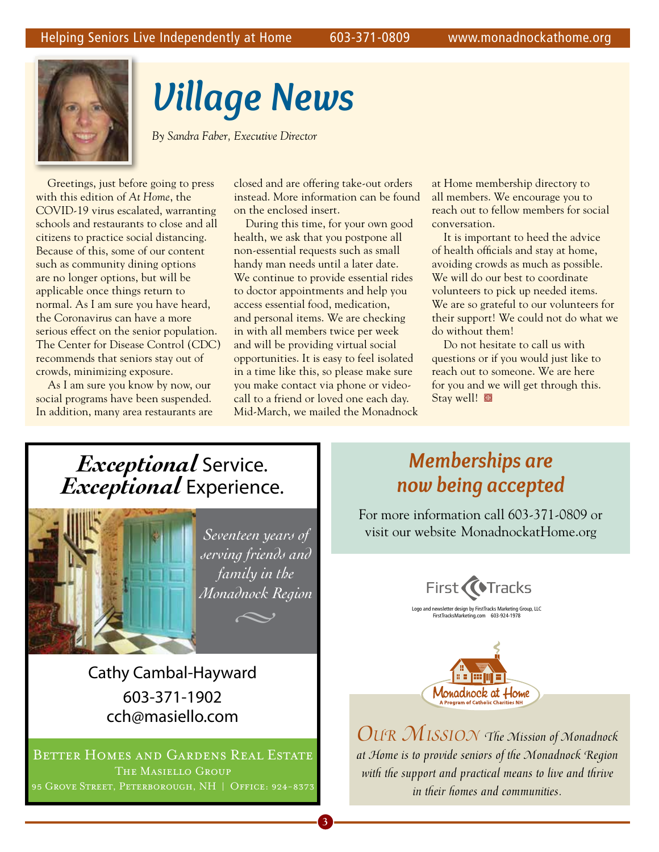

## *Village News*

*By Sandra Faber, Executive Director* 

Greetings, just before going to press with this edition of *At Home*, the COVID-19 virus escalated, warranting schools and restaurants to close and all citizens to practice social distancing. Because of this, some of our content such as community dining options are no longer options, but will be applicable once things return to normal. As I am sure you have heard, the Coronavirus can have a more serious effect on the senior population. The Center for Disease Control (CDC) recommends that seniors stay out of crowds, minimizing exposure.

As I am sure you know by now, our social programs have been suspended. In addition, many area restaurants are closed and are offering take-out orders instead. More information can be found on the enclosed insert.

During this time, for your own good health, we ask that you postpone all non-essential requests such as small handy man needs until a later date. We continue to provide essential rides to doctor appointments and help you access essential food, medication, and personal items. We are checking in with all members twice per week and will be providing virtual social opportunities. It is easy to feel isolated in a time like this, so please make sure you make contact via phone or videocall to a friend or loved one each day. Mid-March, we mailed the Monadnock

at Home membership directory to all members. We encourage you to reach out to fellow members for social conversation.

It is important to heed the advice of health officials and stay at home, avoiding crowds as much as possible. We will do our best to coordinate volunteers to pick up needed items. We are so grateful to our volunteers for their support! We could not do what we do without them!

Do not hesitate to call us with questions or if you would just like to reach out to someone. We are here for you and we will get through this. Stay well!

### *Exceptional* Service. *Exceptional* Experience.



Cathy Cambal-Hayward 603-371-1902 cch@masiello.com

Better Homes and Gardens Real Estate The Masiello Group 95 Grove Street, Peterborough, NH **|** Off ice: 924-8373

### *Memberships are now being accepted*

For more information call 603-371-0809 or visit our website MonadnockatHome.org





*Our MissiOn The Mission of Monadnock at Home is to provide seniors of the Monadnock Region with the support and practical means to live and thrive in their homes and communities.*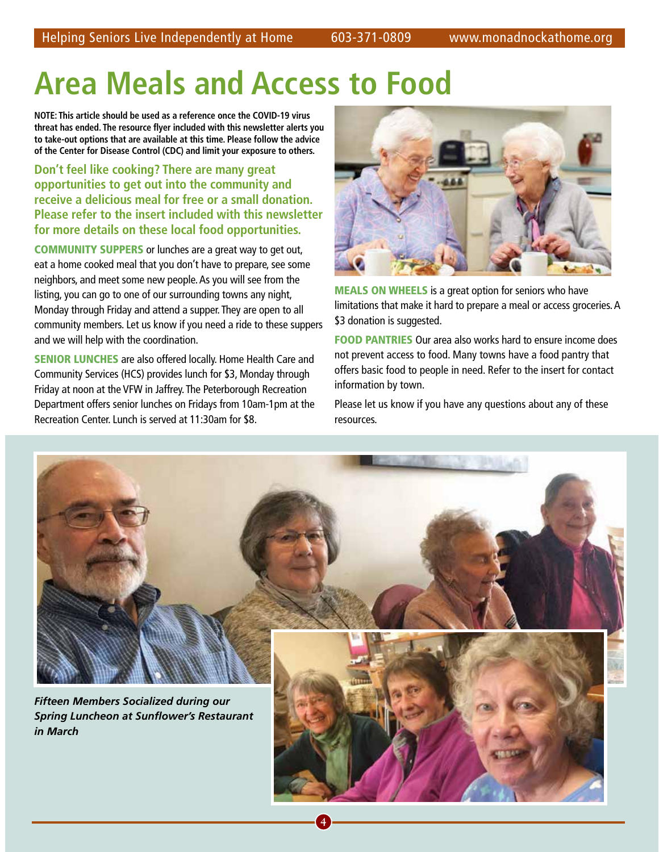## **Area Meals and Access to Food**

**NOTE: This article should be used as a reference once the COVID-19 virus threat has ended. The resource flyer included with this newsletter alerts you to take-out options that are available at this time. Please follow the advice of the Center for Disease Control (CDC) and limit your exposure to others.** 

**Don't feel like cooking? There are many great opportunities to get out into the community and receive a delicious meal for free or a small donation. Please refer to the insert included with this newsletter for more details on these local food opportunities.**

COMMUNITY SUPPERS or lunches are a great way to get out, eat a home cooked meal that you don't have to prepare, see some neighbors, and meet some new people. As you will see from the listing, you can go to one of our surrounding towns any night, Monday through Friday and attend a supper. They are open to all community members. Let us know if you need a ride to these suppers and we will help with the coordination.

**SENIOR LUNCHES** are also offered locally. Home Health Care and Community Services (HCS) provides lunch for \$3, Monday through Friday at noon at the VFW in Jaffrey. The Peterborough Recreation Department offers senior lunches on Fridays from 10am-1pm at the Recreation Center. Lunch is served at 11:30am for \$8.

**2 3 4**



MEALS ON WHEELS is a great option for seniors who have limitations that make it hard to prepare a meal or access groceries. A \$3 donation is suggested.

FOOD PANTRIES Our area also works hard to ensure income does not prevent access to food. Many towns have a food pantry that offers basic food to people in need. Refer to the insert for contact information by town.

Please let us know if you have any questions about any of these resources.

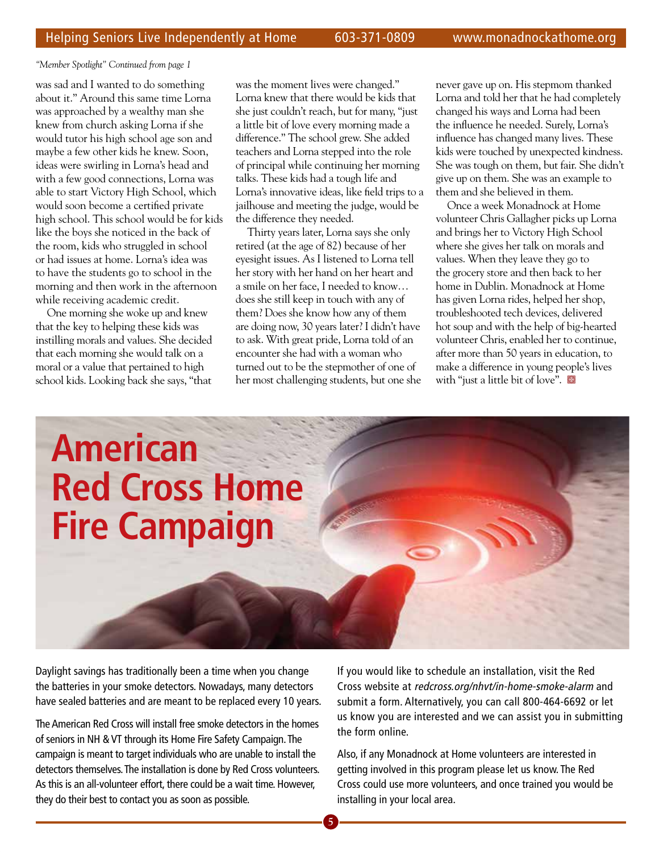*"Member Spotlight" Continued from page 1*

was sad and I wanted to do something about it." Around this same time Lorna was approached by a wealthy man she knew from church asking Lorna if she would tutor his high school age son and maybe a few other kids he knew. Soon, ideas were swirling in Lorna's head and with a few good connections, Lorna was able to start Victory High School, which would soon become a certified private high school. This school would be for kids like the boys she noticed in the back of the room, kids who struggled in school or had issues at home. Lorna's idea was to have the students go to school in the morning and then work in the afternoon while receiving academic credit.

One morning she woke up and knew that the key to helping these kids was instilling morals and values. She decided that each morning she would talk on a moral or a value that pertained to high school kids. Looking back she says, "that was the moment lives were changed." Lorna knew that there would be kids that she just couldn't reach, but for many, "just a little bit of love every morning made a difference." The school grew. She added teachers and Lorna stepped into the role of principal while continuing her morning talks. These kids had a tough life and Lorna's innovative ideas, like field trips to a jailhouse and meeting the judge, would be the difference they needed.

Thirty years later, Lorna says she only retired (at the age of 82) because of her eyesight issues. As I listened to Lorna tell her story with her hand on her heart and a smile on her face, I needed to know… does she still keep in touch with any of them? Does she know how any of them are doing now, 30 years later? I didn't have to ask. With great pride, Lorna told of an encounter she had with a woman who turned out to be the stepmother of one of her most challenging students, but one she never gave up on. His stepmom thanked Lorna and told her that he had completely changed his ways and Lorna had been the influence he needed. Surely, Lorna's influence has changed many lives. These kids were touched by unexpected kindness. She was tough on them, but fair. She didn't give up on them. She was an example to them and she believed in them.

Once a week Monadnock at Home volunteer Chris Gallagher picks up Lorna and brings her to Victory High School where she gives her talk on morals and values. When they leave they go to the grocery store and then back to her home in Dublin. Monadnock at Home has given Lorna rides, helped her shop, troubleshooted tech devices, delivered hot soup and with the help of big-hearted volunteer Chris, enabled her to continue, after more than 50 years in education, to make a difference in young people's lives with "just a little bit of love".  $\blacksquare$ 

## **American Red Cross Home Fire Campaign**

Daylight savings has traditionally been a time when you change the batteries in your smoke detectors. Nowadays, many detectors have sealed batteries and are meant to be replaced every 10 years.

The American Red Cross will install free smoke detectors in the homes of seniors in NH & VT through its Home Fire Safety Campaign. The campaign is meant to target individuals who are unable to install the detectors themselves. The installation is done by Red Cross volunteers. As this is an all-volunteer effort, there could be a wait time. However, they do their best to contact you as soon as possible.

If you would like to schedule an installation, visit the Red Cross website at redcross.org/nhvt/in-home-smoke-alarm and submit a form. Alternatively, you can call 800-464-6692 or let us know you are interested and we can assist you in submitting the form online.

Also, if any Monadnock at Home volunteers are interested in getting involved in this program please let us know. The Red Cross could use more volunteers, and once trained you would be installing in your local area.